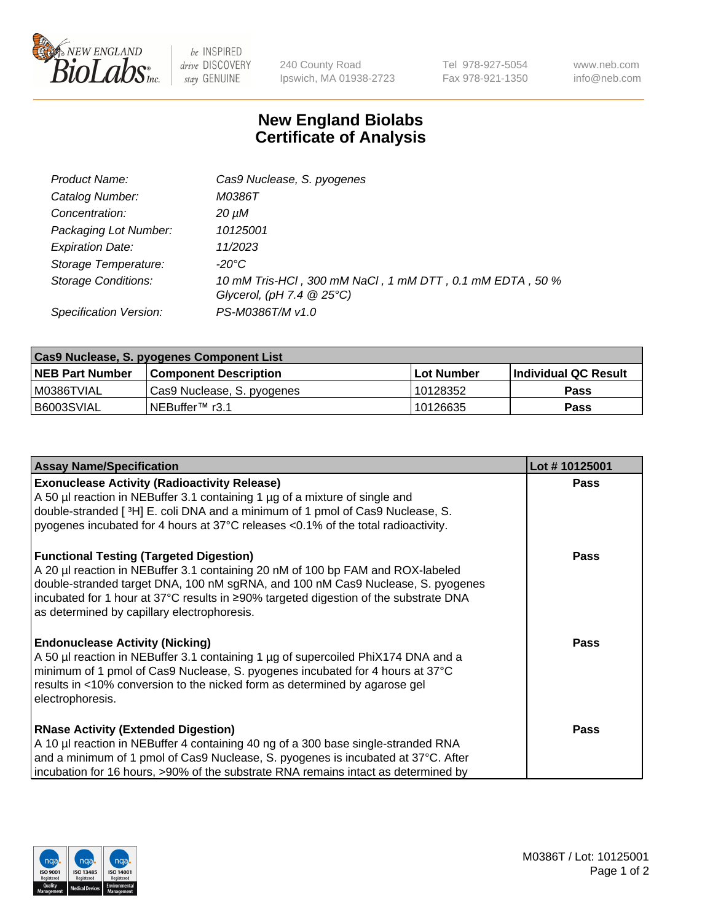

 $be$  INSPIRED drive DISCOVERY stay GENUINE

240 County Road Ipswich, MA 01938-2723 Tel 978-927-5054 Fax 978-921-1350 www.neb.com info@neb.com

## **New England Biolabs Certificate of Analysis**

| 10 mM Tris-HCl, 300 mM NaCl, 1 mM DTT, 0.1 mM EDTA, 50 % |
|----------------------------------------------------------|
|                                                          |
|                                                          |

| Cas9 Nuclease, S. pyogenes Component List |                              |            |                      |  |  |
|-------------------------------------------|------------------------------|------------|----------------------|--|--|
| <b>NEB Part Number</b>                    | <b>Component Description</b> | Lot Number | Individual QC Result |  |  |
| I M0386TVIAL                              | Cas9 Nuclease, S. pyogenes   | 10128352   | <b>Pass</b>          |  |  |
| I B6003SVIAL                              | INEBuffer <sup>™</sup> r3.1  | 10126635   | <b>Pass</b>          |  |  |

| <b>Assay Name/Specification</b>                                                                                                                                                                                                                                                                                                                              | Lot #10125001 |
|--------------------------------------------------------------------------------------------------------------------------------------------------------------------------------------------------------------------------------------------------------------------------------------------------------------------------------------------------------------|---------------|
| <b>Exonuclease Activity (Radioactivity Release)</b><br>A 50 µl reaction in NEBuffer 3.1 containing 1 µg of a mixture of single and<br>double-stranded [ <sup>3</sup> H] E. coli DNA and a minimum of 1 pmol of Cas9 Nuclease, S.<br>pyogenes incubated for 4 hours at 37°C releases <0.1% of the total radioactivity.                                        | <b>Pass</b>   |
| <b>Functional Testing (Targeted Digestion)</b><br>A 20 µl reaction in NEBuffer 3.1 containing 20 nM of 100 bp FAM and ROX-labeled<br>double-stranded target DNA, 100 nM sgRNA, and 100 nM Cas9 Nuclease, S. pyogenes<br> incubated for 1 hour at 37°C results in ≥90% targeted digestion of the substrate DNA<br>as determined by capillary electrophoresis. | <b>Pass</b>   |
| <b>Endonuclease Activity (Nicking)</b><br>A 50 µl reaction in NEBuffer 3.1 containing 1 µg of supercoiled PhiX174 DNA and a<br>minimum of 1 pmol of Cas9 Nuclease, S. pyogenes incubated for 4 hours at 37°C<br>results in <10% conversion to the nicked form as determined by agarose gel<br>electrophoresis.                                               | Pass          |
| <b>RNase Activity (Extended Digestion)</b><br>A 10 µl reaction in NEBuffer 4 containing 40 ng of a 300 base single-stranded RNA<br>and a minimum of 1 pmol of Cas9 Nuclease, S. pyogenes is incubated at 37°C. After<br>incubation for 16 hours, >90% of the substrate RNA remains intact as determined by                                                   | <b>Pass</b>   |